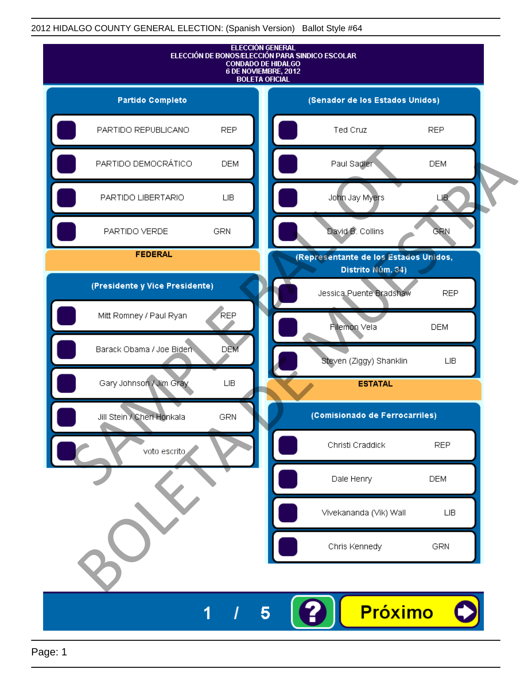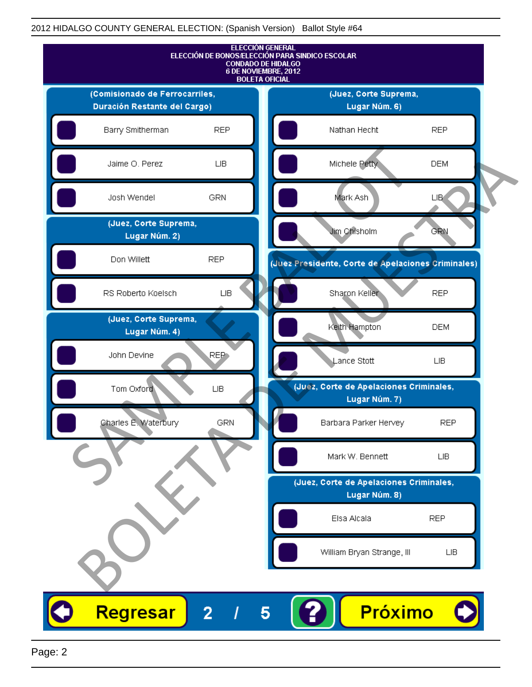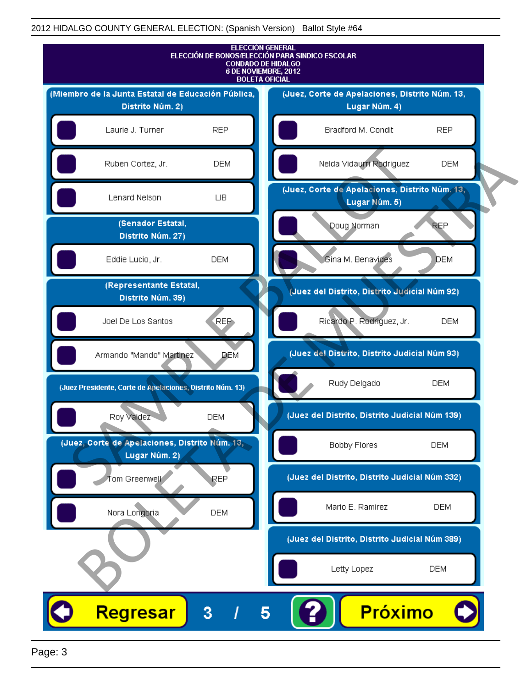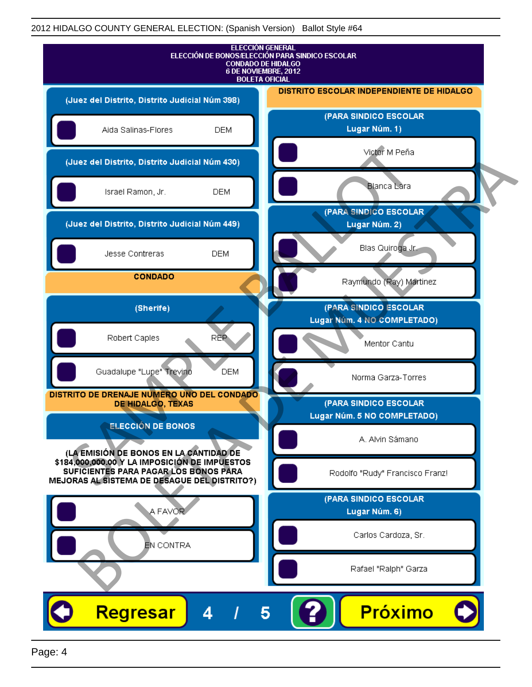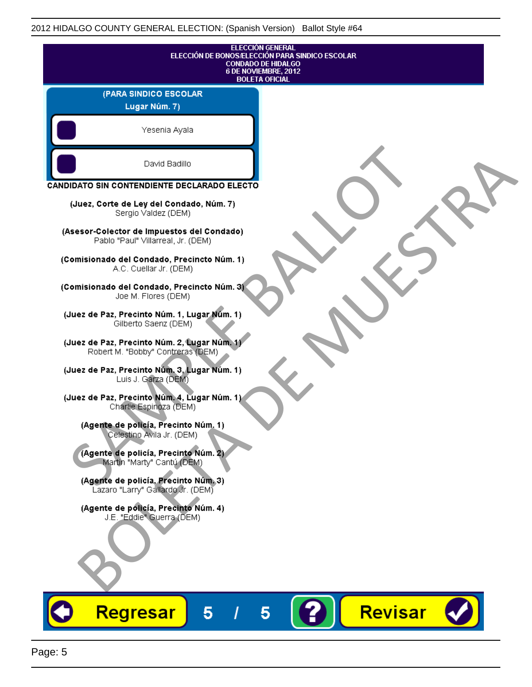|                                                                                   | <b>ELECCIÓN GENERAL</b><br>ELECCIÓN DE BONOS/ELECCIÓN PARA SINDICO ESCOLAR<br><b>CONDADO DE HIDALGO</b><br>6 DE NOVIEMBRE, 2012<br><b>BOLETA OFICIAL</b> |
|-----------------------------------------------------------------------------------|----------------------------------------------------------------------------------------------------------------------------------------------------------|
| (PARA SINDICO ESCOLAR                                                             |                                                                                                                                                          |
| Lugar Núm. 7)                                                                     |                                                                                                                                                          |
| Yesenia Ayala                                                                     |                                                                                                                                                          |
| David Badillo                                                                     |                                                                                                                                                          |
| CANDIDATO SIN CONTENDIENTE DECLARADO ELECTO                                       |                                                                                                                                                          |
| (Juez, Corte de Ley del Condado, Núm. 7)<br>Sergio Valdez (DEM)                   |                                                                                                                                                          |
| (Asesor-Colector de Impuestos del Condado)<br>Pablo "Paul" Villarreal, Jr. (DEM)  |                                                                                                                                                          |
| (Comisionado del Condado, Precincto Núm. 1)<br>A.C. Cuellar Jr. (DEM)             |                                                                                                                                                          |
| (Comisionado del Condado, Precincto Núm. 3)<br>Joe M. Flores (DEM)                |                                                                                                                                                          |
| (Juez de Paz, Precinto Núm. 1, Lugar Núm. 1)<br>Gilberto Saenz (DEM)              |                                                                                                                                                          |
| (Juez de Paz, Precinto Núm. 2, Lugar Núm. 1)<br>Robert M. "Bobby" Contreras (DEM) |                                                                                                                                                          |
| (Juez de Paz, Precinto Núm. 3, Lugar Núm. 1)<br>Luis J. Garza (DEM)               |                                                                                                                                                          |
| (Juez de Paz, Precinto Núm. 4, Lugar Núm. 1)<br>Charlie Espinoza (DEM)            |                                                                                                                                                          |
| (Agente de policía, Precinto Núm. 1)<br>Celestino Avila Jr. (DEM)                 |                                                                                                                                                          |
| (Agente de policía, Precinto Núm. 2)<br>Martin "Marty" Cantú (DEM)                |                                                                                                                                                          |
| (Agente de policía, Precinto Núm. 3)<br>Lazaro "Larry" Gallardo Jr. (DEM)         |                                                                                                                                                          |
| (Agente de policía, Precinto Núm. 4)<br>J.E. "Eddie" Guerra (DEM)                 |                                                                                                                                                          |
|                                                                                   |                                                                                                                                                          |
|                                                                                   |                                                                                                                                                          |
| <b>Regresar</b><br>5                                                              | Revisar<br>5                                                                                                                                             |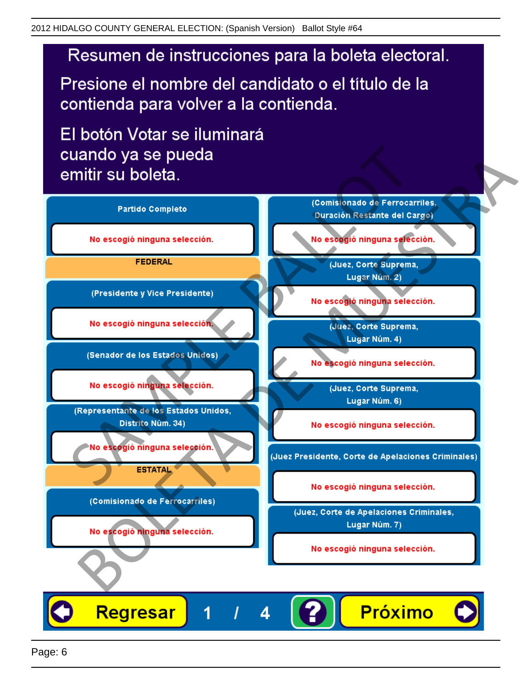Presione el nombre del candidato o el título de la contienda para volver a la contienda.

El botón Votar se iluminará

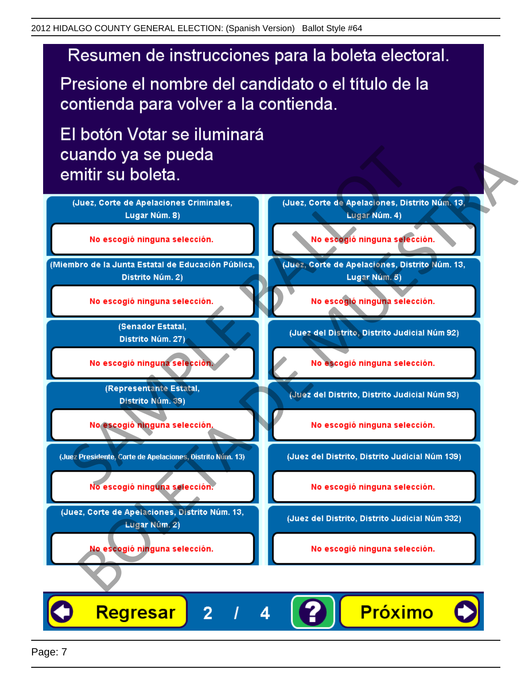Presione el nombre del candidato o el título de la contienda para volver a la contienda.

El botón Votar se iluminará



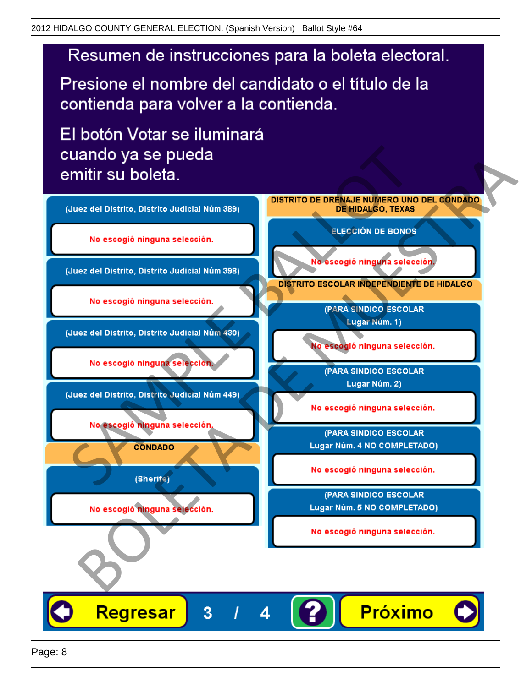Presione el nombre del candidato o el título de la contienda para volver a la contienda.

El botón Votar se iluminará